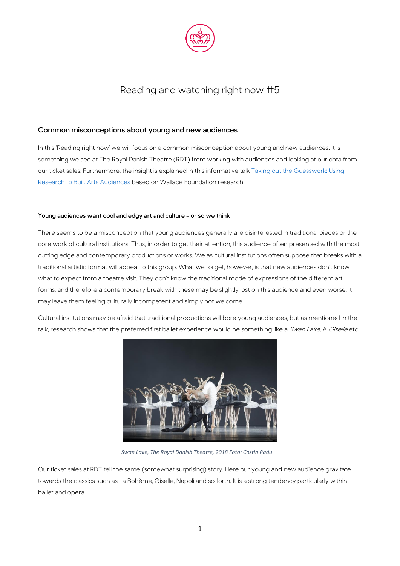

## Reading and watching right now #5

## **Common misconceptions about young and new audiences**

In this 'Reading right now' we will focus on a common misconception about young and new audiences. It is something we see at The Royal Danish Theatre (RDT) from working with audiences and looking at our data from our ticket sales: Furthermore, the insight is explained in this informative talk **Taking out the Guesswork: Using** [Research to Built Arts Audiences](https://www.youtube.com/watch?v=D73FcoasRQc) based on Wallace Foundation research.

## **Young audiences want cool and edgy art and culture – or so we think**

There seems to be a misconception that young audiences generally are disinterested in traditional pieces or the core work of cultural institutions. Thus, in order to get their attention, this audience often presented with the most cutting edge and contemporary productions or works. We as cultural institutions often suppose that breaks with a traditional artistic format will appeal to this group. What we forget, however, is that new audiences don't know what to expect from a theatre visit. They don't know the traditional mode of expressions of the different art forms, and therefore a contemporary break with these may be slightly lost on this audience and even worse: It may leave them feeling culturally incompetent and simply not welcome.

Cultural institutions may be afraid that traditional productions will bore young audiences, but as mentioned in the talk, research shows that the preferred first ballet experience would be something like a Swan Lake, A Giselle etc.



 *Swan Lake, The Royal Danish Theatre, 2018 Foto: Costin Radu*

Our ticket sales at RDT tell the same (somewhat surprising) story. Here our young and new audience gravitate towards the classics such as La Bohème, Giselle, Napoli and so forth. It is a strong tendency particularly within ballet and opera.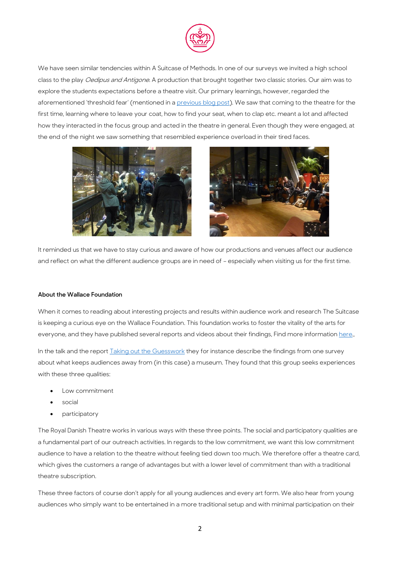

We have seen similar tendencies within A Suitcase of Methods. In one of our surveys we invited a high school class to the play Oedipus and Antigone. A production that brought together two classic stories. Our aim was to explore the students expectations before a theatre visit. Our primary learnings, however, regarded the aforementioned 'threshold fear' (mentioned in [a previous blog post\)](https://asuitcaseofmethods.files.wordpress.com/2017/03/reading-right-now-32.pdf). We saw that coming to the theatre for the first time, learning where to leave your coat, how to find your seat, when to clap etc. meant a lot and affected how they interacted in the focus group and acted in the theatre in general. Even though they were engaged, at the end of the night we saw something that resembled experience overload in their tired faces.





It reminded us that we have to stay curious and aware of how our productions and venues affect our audience and reflect on what the different audience groups are in need of – especially when visiting us for the first time.

## **About the Wallace Foundation**

When it comes to reading about interesting projects and results within audience work and research The Suitcase is keeping a curious eye on the Wallace Foundation. This foundation works to foster the vitality of the arts for everyone, and they have published several reports and videos about their findings, Find more informatio[n here.,](http://www.wallacefoundation.org/knowledge-center/building-audiences-for-the-arts/pages/audience-surveys.aspx)

In the talk and the repor[t Taking out the Guesswork](http://www.wallacefoundation.org/knowledge-center/pages/taking-out-the-guesswork.aspx) they for instance describe the findings from one survey about what keeps audiences away from (in this case) a museum. They found that this group seeks experiences with these three qualities:

- Low commitment
- social
- participatory

The Royal Danish Theatre works in various ways with these three points. The social and participatory qualities are a fundamental part of our outreach activities. In regards to the low commitment, we want this low commitment audience to have a relation to the theatre without feeling tied down too much. We therefore offer a theatre card, which gives the customers a range of advantages but with a lower level of commitment than with a traditional theatre subscription.

These three factors of course don't apply for all young audiences and every art form. We also hear from young audiences who simply want to be entertained in a more traditional setup and with minimal participation on their